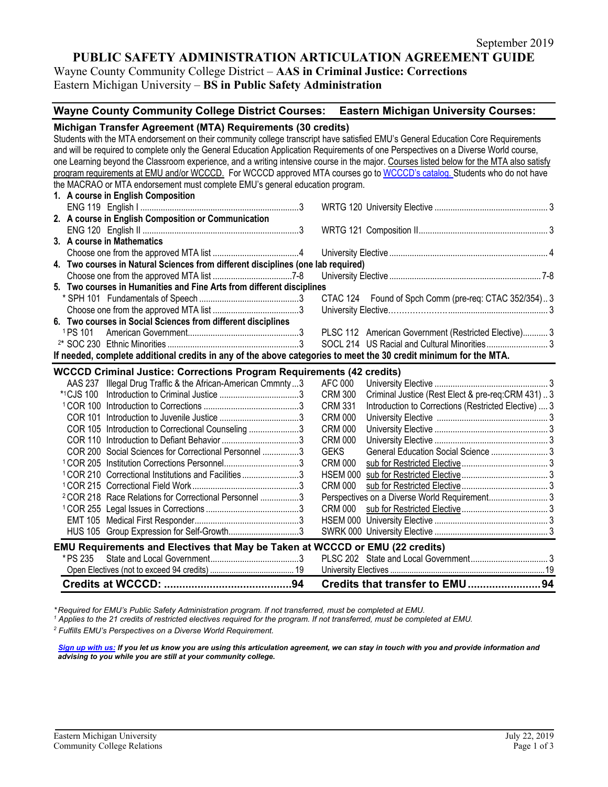# **PUBLIC SAFETY ADMINISTRATION ARTICULATION AGREEMENT GUIDE**

Wayne County Community College District – **AAS in Criminal Justice: Corrections** Eastern Michigan University – **BS in Public Safety Administration**

## **Wayne County Community College District Courses: Eastern Michigan University Courses:**

|                                                                                                                                          | Michigan Transfer Agreement (MTA) Requirements (30 credits)            |  |  |  |  |
|------------------------------------------------------------------------------------------------------------------------------------------|------------------------------------------------------------------------|--|--|--|--|
| Students with the MTA endorsement on their community college transcript have satisfied EMU's General Education Core Requirements         |                                                                        |  |  |  |  |
| and will be required to complete only the General Education Application Requirements of one Perspectives on a Diverse World course,      |                                                                        |  |  |  |  |
| one Learning beyond the Classroom experience, and a writing intensive course in the major. Courses listed below for the MTA also satisfy |                                                                        |  |  |  |  |
| program requirements at EMU and/or WCCCD. For WCCCD approved MTA courses go to WCCCD's catalog. Students who do not have                 |                                                                        |  |  |  |  |
| the MACRAO or MTA endorsement must complete EMU's general education program.                                                             |                                                                        |  |  |  |  |
| 1. A course in English Composition                                                                                                       |                                                                        |  |  |  |  |
|                                                                                                                                          |                                                                        |  |  |  |  |
| 2. A course in English Composition or Communication                                                                                      |                                                                        |  |  |  |  |
|                                                                                                                                          |                                                                        |  |  |  |  |
| 3. A course in Mathematics                                                                                                               |                                                                        |  |  |  |  |
|                                                                                                                                          |                                                                        |  |  |  |  |
| 4. Two courses in Natural Sciences from different disciplines (one lab required)                                                         |                                                                        |  |  |  |  |
|                                                                                                                                          |                                                                        |  |  |  |  |
| 5. Two courses in Humanities and Fine Arts from different disciplines                                                                    |                                                                        |  |  |  |  |
|                                                                                                                                          | CTAC 124 Found of Spch Comm (pre-req: CTAC 352/354)3                   |  |  |  |  |
|                                                                                                                                          |                                                                        |  |  |  |  |
| 6. Two courses in Social Sciences from different disciplines                                                                             |                                                                        |  |  |  |  |
| <sup>1</sup> PS 101                                                                                                                      | PLSC 112 American Government (Restricted Elective) 3                   |  |  |  |  |
|                                                                                                                                          |                                                                        |  |  |  |  |
| If needed, complete additional credits in any of the above categories to meet the 30 credit minimum for the MTA.                         |                                                                        |  |  |  |  |
| <b>WCCCD Criminal Justice: Corrections Program Requirements (42 credits)</b>                                                             |                                                                        |  |  |  |  |
| AAS 237 Illegal Drug Traffic & the African-American Cmmnty3                                                                              | AFC 000                                                                |  |  |  |  |
| <b>*1CJS 100</b>                                                                                                                         | <b>CRM 300</b><br>Criminal Justice (Rest Elect & pre-req:CRM 431)3     |  |  |  |  |
|                                                                                                                                          | Introduction to Corrections (Restricted Elective)  3<br><b>CRM 331</b> |  |  |  |  |
|                                                                                                                                          | <b>CRM 000</b>                                                         |  |  |  |  |
| COR 105 Introduction to Correctional Counseling 3                                                                                        | <b>CRM 000</b>                                                         |  |  |  |  |
|                                                                                                                                          | <b>CRM 000</b>                                                         |  |  |  |  |
| COR 200 Social Sciences for Correctional Personnel 3                                                                                     | General Education Social Science  3<br><b>GEKS</b>                     |  |  |  |  |
| <sup>1</sup> COR 205 Institution Corrections Personnel3                                                                                  | <b>CRM 000</b>                                                         |  |  |  |  |
| <sup>1</sup> COR 210 Correctional Institutions and Facilities3                                                                           |                                                                        |  |  |  |  |
|                                                                                                                                          | <b>CRM 000</b>                                                         |  |  |  |  |
| <sup>2</sup> COR 218 Race Relations for Correctional Personnel 3                                                                         |                                                                        |  |  |  |  |
|                                                                                                                                          | <b>CRM 000</b>                                                         |  |  |  |  |
|                                                                                                                                          |                                                                        |  |  |  |  |
| HUS 105 Group Expression for Self-Growth3                                                                                                |                                                                        |  |  |  |  |
| EMU Requirements and Electives that May be Taken at WCCCD or EMU (22 credits)                                                            |                                                                        |  |  |  |  |
| * PS 235                                                                                                                                 |                                                                        |  |  |  |  |
|                                                                                                                                          |                                                                        |  |  |  |  |
|                                                                                                                                          | Credits that transfer to EMU94                                         |  |  |  |  |

\*Required for EMU's Public Safety Administration program. If not transferred, must be completed at EMU.<br><sup>1</sup> Applies to the 21 credits of restricted electives required for the program. If not transferred, must be completed

*<sup>2</sup> Fulfills EMU's Perspectives on a Diverse World Requirement.*

*[Sign up with us:](https://www.emich.edu/ccr/articulation-agreements/signup.php) If you let us know you are using this articulation agreement, we can stay in touch with you and provide information and advising to you while you are still at your community college.*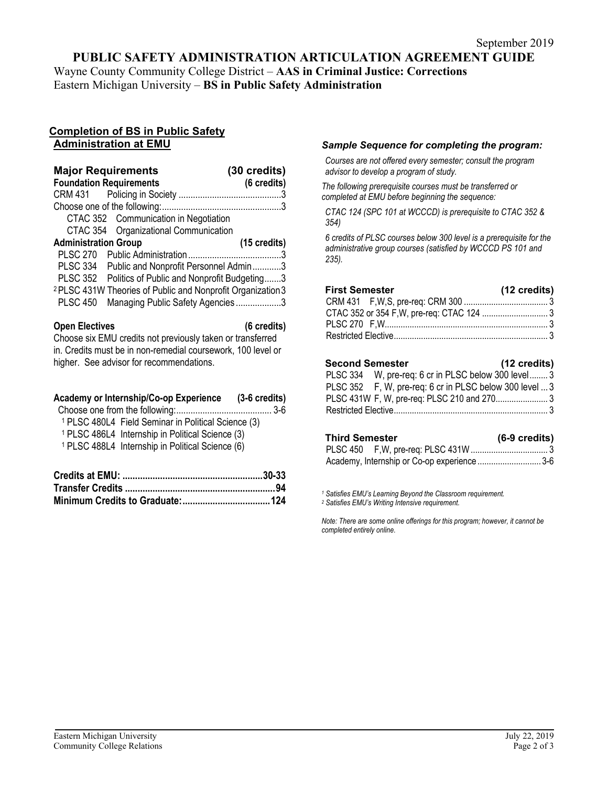# **PUBLIC SAFETY ADMINISTRATION ARTICULATION AGREEMENT GUIDE**

Wayne County Community College District – **AAS in Criminal Justice: Corrections** Eastern Michigan University – **BS in Public Safety Administration**

## **Completion of BS in Public Safety Administration at EMU**

| <b>Major Requirements</b>                                              | (30 credits) |
|------------------------------------------------------------------------|--------------|
| <b>Foundation Requirements</b>                                         | (6 credits)  |
|                                                                        |              |
|                                                                        |              |
| CTAC 352 Communication in Negotiation                                  |              |
| CTAC 354 Organizational Communication                                  |              |
| <b>Administration Group</b>                                            | (15 credits) |
|                                                                        |              |
| PLSC 334 Public and Nonprofit Personnel Admin3                         |              |
| PLSC 352 Politics of Public and Nonprofit Budgeting3                   |              |
| <sup>2</sup> PLSC 431W Theories of Public and Nonprofit Organization 3 |              |
| Managing Public Safety Agencies3<br><b>PLSC 450</b>                    |              |
|                                                                        |              |

### **Open Electives (6 credits)**

Choose six EMU credits not previously taken or transferred in. Credits must be in non-remedial coursework, 100 level or higher. See advisor for recommendations.

| Academy or Internship/Co-op Experience                         | $(3-6 \text{ credits})$ |
|----------------------------------------------------------------|-------------------------|
|                                                                |                         |
| <sup>1</sup> PLSC 480L4 Field Seminar in Political Science (3) |                         |
| <sup>1</sup> PLSC 486L4 Internship in Political Science (3)    |                         |
| <sup>1</sup> PLSC 488L4 Internship in Political Science (6)    |                         |
|                                                                |                         |
| $C$ <sub>rod</sub> ito of $CMLL$                               | פכ חכ                   |

## *Sample Sequence for completing the program:*

*Courses are not offered every semester; consult the program advisor to develop a program of study.*

*The following prerequisite courses must be transferred or completed at EMU before beginning the sequence:*

*CTAC 124 (SPC 101 at WCCCD) is prerequisite to CTAC 352 & 354)*

*6 credits of PLSC courses below 300 level is a prerequisite for the administrative group courses (satisfied by WCCCD PS 101 and 235).*

| <b>First Semester</b> | (12 credits) |
|-----------------------|--------------|
|                       |              |
|                       |              |
|                       |              |
|                       |              |
|                       |              |

## **Second Semester (12 credits)**

| PLSC 334 W, pre-req: 6 cr in PLSC below 300 level 3     |  |
|---------------------------------------------------------|--|
| PLSC 352 F, W, pre-req: 6 cr in PLSC below 300 level  3 |  |
|                                                         |  |
|                                                         |  |

| <b>Third Semester</b> |                                             | $(6-9 \text{ credits})$ |
|-----------------------|---------------------------------------------|-------------------------|
|                       |                                             |                         |
|                       | Academy, Internship or Co-op experience 3-6 |                         |

*<sup>1</sup> Satisfies EMU's Learning Beyond the Classroom requirement. <sup>2</sup> Satisfies EMU's Writing Intensive requirement.*

*Note: There are some online offerings for this program; however, it cannot be completed entirely online*.